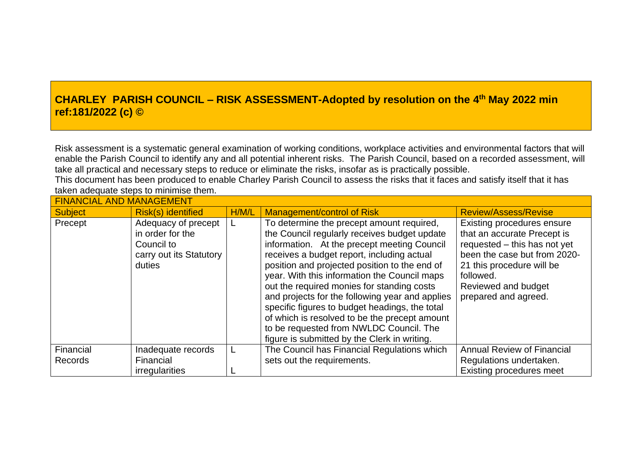## **CHARLEY PARISH COUNCIL – RISK ASSESSMENT-Adopted by resolution on the 4 th May 2022 min ref:181/2022 (c) ©**

Risk assessment is a systematic general examination of working conditions, workplace activities and environmental factors that will enable the Parish Council to identify any and all potential inherent risks. The Parish Council, based on a recorded assessment, will take all practical and necessary steps to reduce or eliminate the risks, insofar as is practically possible.

This document has been produced to enable Charley Parish Council to assess the risks that it faces and satisfy itself that it has taken adequate steps to minimise them.

| <b>FINANCIAL AND MANAGEMENT</b> |                                                                                            |       |                                                                                                                                                                                                                                                                                                                                                                                                                                                                                                                                                                                        |                                                                                                                                                                                                                    |
|---------------------------------|--------------------------------------------------------------------------------------------|-------|----------------------------------------------------------------------------------------------------------------------------------------------------------------------------------------------------------------------------------------------------------------------------------------------------------------------------------------------------------------------------------------------------------------------------------------------------------------------------------------------------------------------------------------------------------------------------------------|--------------------------------------------------------------------------------------------------------------------------------------------------------------------------------------------------------------------|
| <b>Subject</b>                  | Risk(s) identified                                                                         | H/M/L | <b>Management/control of Risk</b>                                                                                                                                                                                                                                                                                                                                                                                                                                                                                                                                                      | <b>Review/Assess/Revise</b>                                                                                                                                                                                        |
| Precept                         | Adequacy of precept<br>in order for the<br>Council to<br>carry out its Statutory<br>duties |       | To determine the precept amount required,<br>the Council regularly receives budget update<br>information. At the precept meeting Council<br>receives a budget report, including actual<br>position and projected position to the end of<br>year. With this information the Council maps<br>out the required monies for standing costs<br>and projects for the following year and applies<br>specific figures to budget headings, the total<br>of which is resolved to be the precept amount<br>to be requested from NWLDC Council. The<br>figure is submitted by the Clerk in writing. | Existing procedures ensure<br>that an accurate Precept is<br>requested - this has not yet<br>been the case but from 2020-<br>21 this procedure will be<br>followed.<br>Reviewed and budget<br>prepared and agreed. |
| Financial<br><b>Records</b>     | Inadequate records<br>Financial                                                            |       | The Council has Financial Regulations which<br>sets out the requirements.                                                                                                                                                                                                                                                                                                                                                                                                                                                                                                              | <b>Annual Review of Financial</b><br>Regulations undertaken.                                                                                                                                                       |
|                                 | irregularities                                                                             |       |                                                                                                                                                                                                                                                                                                                                                                                                                                                                                                                                                                                        | <b>Existing procedures meet</b>                                                                                                                                                                                    |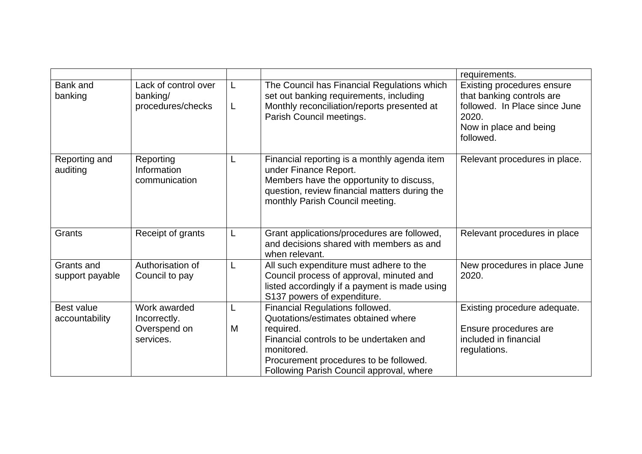|                                     |                                                           |        |                                                                                                                                                                                                                                    | requirements.                                                                                                                            |
|-------------------------------------|-----------------------------------------------------------|--------|------------------------------------------------------------------------------------------------------------------------------------------------------------------------------------------------------------------------------------|------------------------------------------------------------------------------------------------------------------------------------------|
| <b>Bank and</b><br>banking          | Lack of control over<br>banking/<br>procedures/checks     | L<br>L | The Council has Financial Regulations which<br>set out banking requirements, including<br>Monthly reconciliation/reports presented at<br>Parish Council meetings.                                                                  | Existing procedures ensure<br>that banking controls are<br>followed. In Place since June<br>2020.<br>Now in place and being<br>followed. |
| Reporting and<br>auditing           | Reporting<br>Information<br>communication                 | L      | Financial reporting is a monthly agenda item<br>under Finance Report.<br>Members have the opportunity to discuss,<br>question, review financial matters during the<br>monthly Parish Council meeting.                              | Relevant procedures in place.                                                                                                            |
| Grants                              | Receipt of grants                                         | L      | Grant applications/procedures are followed,<br>and decisions shared with members as and<br>when relevant.                                                                                                                          | Relevant procedures in place                                                                                                             |
| Grants and<br>support payable       | Authorisation of<br>Council to pay                        | L      | All such expenditure must adhere to the<br>Council process of approval, minuted and<br>listed accordingly if a payment is made using<br>S137 powers of expenditure.                                                                | New procedures in place June<br>2020.                                                                                                    |
| <b>Best value</b><br>accountability | Work awarded<br>Incorrectly.<br>Overspend on<br>services. | L<br>M | Financial Regulations followed.<br>Quotations/estimates obtained where<br>required.<br>Financial controls to be undertaken and<br>monitored.<br>Procurement procedures to be followed.<br>Following Parish Council approval, where | Existing procedure adequate.<br>Ensure procedures are<br>included in financial<br>regulations.                                           |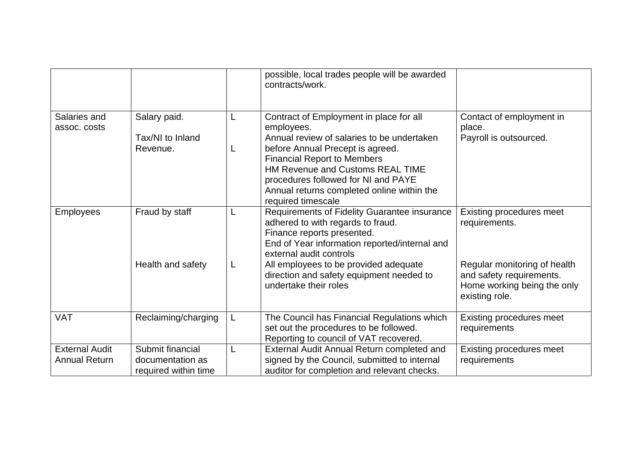|                                               |                                                              |   | possible, local trades people will be awarded<br>contracts/work.                                                                                                                            |                                                                                                           |
|-----------------------------------------------|--------------------------------------------------------------|---|---------------------------------------------------------------------------------------------------------------------------------------------------------------------------------------------|-----------------------------------------------------------------------------------------------------------|
| Salaries and<br>assoc. costs                  | Salary paid.<br>Tax/NI to Inland<br>Revenue.                 | L | Contract of Employment in place for all<br>employees.<br>Annual review of salaries to be undertaken<br>before Annual Precept is agreed.                                                     | Contact of employment in<br>place.<br>Payroll is outsourced.                                              |
|                                               |                                                              |   | <b>Financial Report to Members</b><br>HM Revenue and Customs REAL TIME<br>procedures followed for NI and PAYE<br>Annual returns completed online within the<br>required timescale           |                                                                                                           |
| <b>Employees</b>                              | Fraud by staff                                               |   | Requirements of Fidelity Guarantee insurance<br>adhered to with regards to fraud.<br>Finance reports presented.<br>End of Year information reported/internal and<br>external audit controls | Existing procedures meet<br>requirements.                                                                 |
|                                               | Health and safety                                            | L | All employees to be provided adequate<br>direction and safety equipment needed to<br>undertake their roles                                                                                  | Regular monitoring of health<br>and safety requirements.<br>Home working being the only<br>existing role. |
| <b>VAT</b>                                    | Reclaiming/charging                                          | L | The Council has Financial Regulations which<br>set out the procedures to be followed.<br>Reporting to council of VAT recovered.                                                             | Existing procedures meet<br>requirements                                                                  |
| <b>External Audit</b><br><b>Annual Return</b> | Submit financial<br>documentation as<br>required within time |   | External Audit Annual Return completed and<br>signed by the Council, submitted to internal<br>auditor for completion and relevant checks.                                                   | Existing procedures meet<br>requirements                                                                  |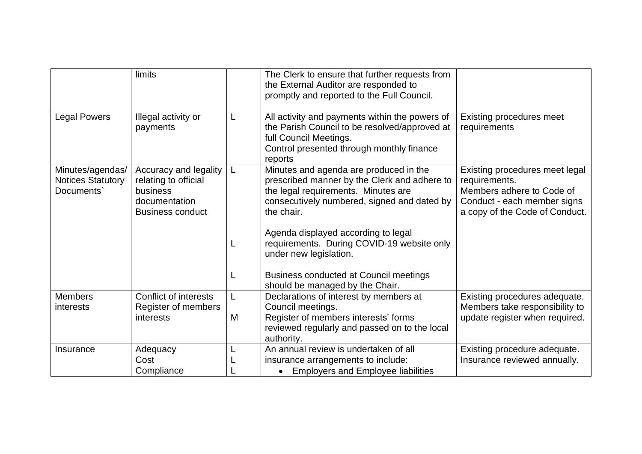|                                                            | limits                                                                                                |   | The Clerk to ensure that further requests from<br>the External Auditor are responded to<br>promptly and reported to the Full Council.                                                      |                                                                                                                                               |
|------------------------------------------------------------|-------------------------------------------------------------------------------------------------------|---|--------------------------------------------------------------------------------------------------------------------------------------------------------------------------------------------|-----------------------------------------------------------------------------------------------------------------------------------------------|
| <b>Legal Powers</b>                                        | Illegal activity or<br>payments                                                                       | L | All activity and payments within the powers of<br>the Parish Council to be resolved/approved at<br>full Council Meetings.<br>Control presented through monthly finance<br>reports          | Existing procedures meet<br>requirements                                                                                                      |
| Minutes/agendas/<br><b>Notices Statutory</b><br>Documents' | Accuracy and legality<br>relating to official<br>business<br>documentation<br><b>Business conduct</b> | L | Minutes and agenda are produced in the<br>prescribed manner by the Clerk and adhere to<br>the legal requirements. Minutes are<br>consecutively numbered, signed and dated by<br>the chair. | Existing procedures meet legal<br>requirements.<br>Members adhere to Code of<br>Conduct - each member signs<br>a copy of the Code of Conduct. |
|                                                            |                                                                                                       |   | Agenda displayed according to legal<br>requirements. During COVID-19 website only<br>under new legislation.                                                                                |                                                                                                                                               |
|                                                            |                                                                                                       |   | <b>Business conducted at Council meetings</b><br>should be managed by the Chair.                                                                                                           |                                                                                                                                               |
| <b>Members</b>                                             | <b>Conflict of interests</b>                                                                          |   | Declarations of interest by members at                                                                                                                                                     | Existing procedures adequate.                                                                                                                 |
| interests                                                  | Register of members<br>interests                                                                      | M | Council meetings.<br>Register of members interests' forms<br>reviewed regularly and passed on to the local<br>authority.                                                                   | Members take responsibility to<br>update register when required.                                                                              |
| Insurance                                                  | Adequacy<br>Cost<br>Compliance                                                                        |   | An annual review is undertaken of all<br>insurance arrangements to include:<br><b>Employers and Employee liabilities</b><br>$\bullet$                                                      | Existing procedure adequate.<br>Insurance reviewed annually.                                                                                  |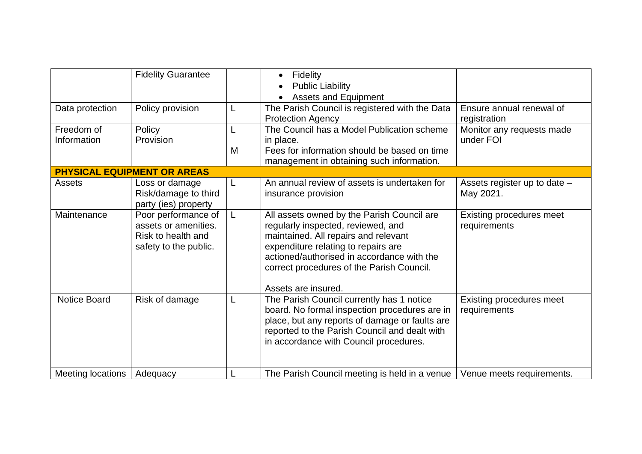|                           | <b>Fidelity Guarantee</b>                                                                  |        | Fidelity<br><b>Public Liability</b><br><b>Assets and Equipment</b>                                                                                                                                                                                                                |                                                 |
|---------------------------|--------------------------------------------------------------------------------------------|--------|-----------------------------------------------------------------------------------------------------------------------------------------------------------------------------------------------------------------------------------------------------------------------------------|-------------------------------------------------|
| Data protection           | Policy provision                                                                           | L      | The Parish Council is registered with the Data<br><b>Protection Agency</b>                                                                                                                                                                                                        | Ensure annual renewal of<br>registration        |
| Freedom of<br>Information | Policy<br>Provision                                                                        | L<br>M | The Council has a Model Publication scheme<br>in place.<br>Fees for information should be based on time<br>management in obtaining such information.                                                                                                                              | Monitor any requests made<br>under FOI          |
|                           | <b>PHYSICAL EQUIPMENT OR AREAS</b>                                                         |        |                                                                                                                                                                                                                                                                                   |                                                 |
| <b>Assets</b>             | Loss or damage<br>Risk/damage to third<br>party (ies) property                             | L      | An annual review of assets is undertaken for<br>insurance provision                                                                                                                                                                                                               | Assets register up to date -<br>May 2021.       |
| Maintenance               | Poor performance of<br>assets or amenities.<br>Risk to health and<br>safety to the public. | L      | All assets owned by the Parish Council are<br>regularly inspected, reviewed, and<br>maintained. All repairs and relevant<br>expenditure relating to repairs are<br>actioned/authorised in accordance with the<br>correct procedures of the Parish Council.<br>Assets are insured. | <b>Existing procedures meet</b><br>requirements |
| Notice Board              | Risk of damage                                                                             | L      | The Parish Council currently has 1 notice<br>board. No formal inspection procedures are in<br>place, but any reports of damage or faults are<br>reported to the Parish Council and dealt with<br>in accordance with Council procedures.                                           | <b>Existing procedures meet</b><br>requirements |
| <b>Meeting locations</b>  | Adequacy                                                                                   |        | The Parish Council meeting is held in a venue                                                                                                                                                                                                                                     | Venue meets requirements.                       |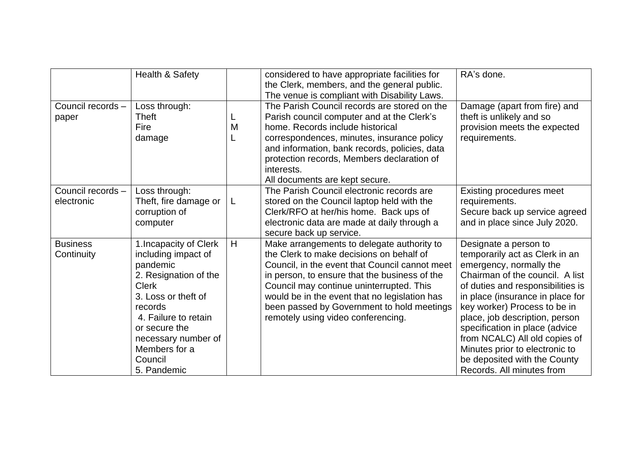|                                 | Health & Safety                                                                                                                                                                                                                                 |   | considered to have appropriate facilities for<br>the Clerk, members, and the general public.<br>The venue is compliant with Disability Laws.                                                                                                                                                                                                                               | RA's done.                                                                                                                                                                                                                                                                                                                                                                                                                         |
|---------------------------------|-------------------------------------------------------------------------------------------------------------------------------------------------------------------------------------------------------------------------------------------------|---|----------------------------------------------------------------------------------------------------------------------------------------------------------------------------------------------------------------------------------------------------------------------------------------------------------------------------------------------------------------------------|------------------------------------------------------------------------------------------------------------------------------------------------------------------------------------------------------------------------------------------------------------------------------------------------------------------------------------------------------------------------------------------------------------------------------------|
| Council records -<br>paper      | Loss through:<br>Theft<br>Fire<br>damage                                                                                                                                                                                                        | M | The Parish Council records are stored on the<br>Parish council computer and at the Clerk's<br>home. Records include historical<br>correspondences, minutes, insurance policy<br>and information, bank records, policies, data<br>protection records, Members declaration of<br>interests.<br>All documents are kept secure.                                                | Damage (apart from fire) and<br>theft is unlikely and so<br>provision meets the expected<br>requirements.                                                                                                                                                                                                                                                                                                                          |
| Council records -<br>electronic | Loss through:<br>Theft, fire damage or<br>corruption of<br>computer                                                                                                                                                                             | L | The Parish Council electronic records are<br>stored on the Council laptop held with the<br>Clerk/RFO at her/his home. Back ups of<br>electronic data are made at daily through a<br>secure back up service.                                                                                                                                                                | Existing procedures meet<br>requirements.<br>Secure back up service agreed<br>and in place since July 2020.                                                                                                                                                                                                                                                                                                                        |
| <b>Business</b><br>Continuity   | 1. Incapacity of Clerk<br>including impact of<br>pandemic<br>2. Resignation of the<br><b>Clerk</b><br>3. Loss or theft of<br>records<br>4. Failure to retain<br>or secure the<br>necessary number of<br>Members for a<br>Council<br>5. Pandemic | H | Make arrangements to delegate authority to<br>the Clerk to make decisions on behalf of<br>Council, in the event that Council cannot meet<br>in person, to ensure that the business of the<br>Council may continue uninterrupted. This<br>would be in the event that no legislation has<br>been passed by Government to hold meetings<br>remotely using video conferencing. | Designate a person to<br>temporarily act as Clerk in an<br>emergency, normally the<br>Chairman of the council. A list<br>of duties and responsibilities is<br>in place (insurance in place for<br>key worker) Process to be in<br>place, job description, person<br>specification in place (advice<br>from NCALC) All old copies of<br>Minutes prior to electronic to<br>be deposited with the County<br>Records. All minutes from |